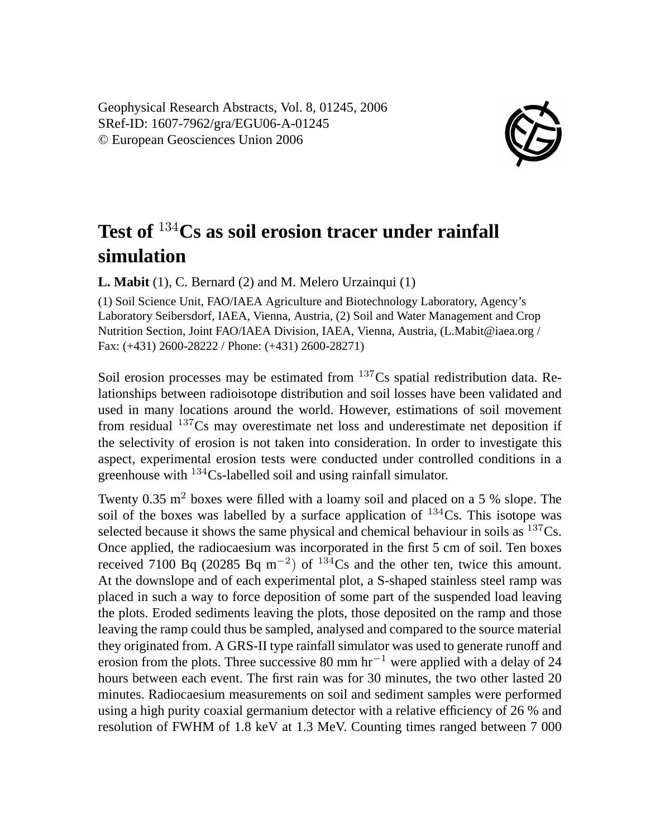Geophysical Research Abstracts, Vol. 8, 01245, 2006 SRef-ID: 1607-7962/gra/EGU06-A-01245 © European Geosciences Union 2006



## **Test of** <sup>134</sup>**Cs as soil erosion tracer under rainfall simulation**

**L. Mabit** (1), C. Bernard (2) and M. Melero Urzainqui (1)

(1) Soil Science Unit, FAO/IAEA Agriculture and Biotechnology Laboratory, Agency's Laboratory Seibersdorf, IAEA, Vienna, Austria, (2) Soil and Water Management and Crop Nutrition Section, Joint FAO/IAEA Division, IAEA, Vienna, Austria, (L.Mabit@iaea.org / Fax: (+431) 2600-28222 / Phone: (+431) 2600-28271)

Soil erosion processes may be estimated from  $137Cs$  spatial redistribution data. Relationships between radioisotope distribution and soil losses have been validated and used in many locations around the world. However, estimations of soil movement from residual <sup>137</sup>Cs may overestimate net loss and underestimate net deposition if the selectivity of erosion is not taken into consideration. In order to investigate this aspect, experimental erosion tests were conducted under controlled conditions in a greenhouse with <sup>134</sup>Cs-labelled soil and using rainfall simulator.

Twenty  $0.35 \text{ m}^2$  boxes were filled with a loamy soil and placed on a 5 % slope. The soil of the boxes was labelled by a surface application of  $^{134}Cs$ . This isotope was selected because it shows the same physical and chemical behaviour in soils as  $137Cs$ . Once applied, the radiocaesium was incorporated in the first 5 cm of soil. Ten boxes received 7100 Bq (20285 Bq m<sup>-2</sup>) of <sup>134</sup>Cs and the other ten, twice this amount. At the downslope and of each experimental plot, a S-shaped stainless steel ramp was placed in such a way to force deposition of some part of the suspended load leaving the plots. Eroded sediments leaving the plots, those deposited on the ramp and those leaving the ramp could thus be sampled, analysed and compared to the source material they originated from. A GRS-II type rainfall simulator was used to generate runoff and erosion from the plots. Three successive 80 mm  $hr^{-1}$  were applied with a delay of 24 hours between each event. The first rain was for 30 minutes, the two other lasted 20 minutes. Radiocaesium measurements on soil and sediment samples were performed using a high purity coaxial germanium detector with a relative efficiency of 26 % and resolution of FWHM of 1.8 keV at 1.3 MeV. Counting times ranged between 7 000